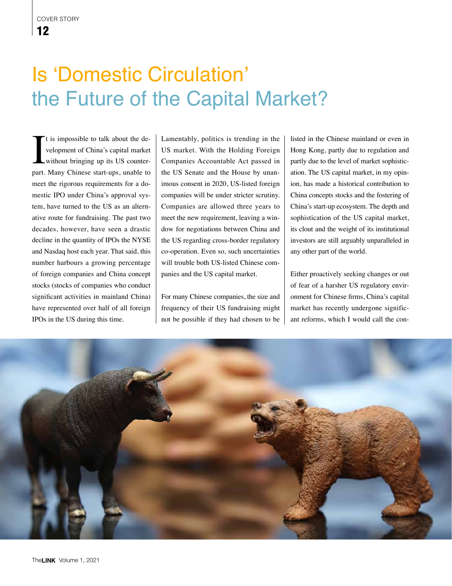## Is 'Domestic Circulation' the Future of the Capital Market?

It is impossible to talk about the development of China's capital market<br>without bringing up its US counter-<br>part. Many Chinese start-ups, unable to t is impossible to talk about the development of China's capital market without bringing up its US countermeet the rigorous requirements for a domestic IPO under China's approval system, have turned to the US as an alternative route for fundraising. The past two decades, however, have seen a drastic decline in the quantity of IPOs the NYSE and Nasdaq host each year. That said, this number harbours a growing percentage of foreign companies and China concept stocks (stocks of companies who conduct significant activities in mainland China) have represented over half of all foreign IPOs in the US during this time.

Lamentably, politics is trending in the US market. With the Holding Foreign Companies Accountable Act passed in the US Senate and the House by unanimous consent in 2020, US-listed foreign companies will be under stricter scrutiny. Companies are allowed three years to meet the new requirement, leaving a window for negotiations between China and the US regarding cross-border regulatory co-operation. Even so, such uncertainties will trouble both US-listed Chinese companies and the US capital market.

For many Chinese companies, the size and frequency of their US fundraising might not be possible if they had chosen to be listed in the Chinese mainland or even in Hong Kong, partly due to regulation and partly due to the level of market sophistication. The US capital market, in my opinion, has made a historical contribution to China concepts stocks and the fostering of China's start-up ecosystem. The depth and sophistication of the US capital market, its clout and the weight of its institutional investors are still arguably unparalleled in any other part of the world.

Either proactively seeking changes or out of fear of a harsher US regulatory environment for Chinese firms, China's capital market has recently undergone significant reforms, which I would call the con-